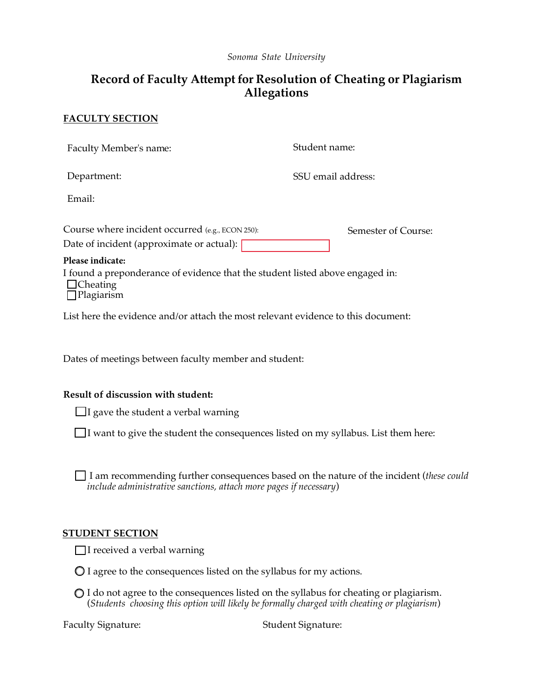*Sonoma State University* 

# **Record of Faculty Attempt for Resolution of Cheating or Plagiarism Allegations**

## **FACULTY SECTION**

| Faculty Member's name:                                                                                                | Student name:       |
|-----------------------------------------------------------------------------------------------------------------------|---------------------|
| Department:                                                                                                           | SSU email address:  |
| Email:                                                                                                                |                     |
| Course where incident occurred $(e.g., ECON 250)$ :<br>Date of incident (approximate or actual):                      | Semester of Course: |
| Please indicate:                                                                                                      |                     |
| I found a preponderance of evidence that the student listed above engaged in:<br>$\Box$ Cheating<br>$\Box$ Plagiarism |                     |
| List here the evidence and/or attach the most relevant evidence to this document:                                     |                     |

Dates of meetings between faculty member and student:

### **Result of discussion with student:**

I gave the student a verbal warning

I want to give the student the consequences listed on my syllabus. List them here:

 I am recommending further consequences based on the nature of the incident (*these could include administrative sanctions, attach more pages if necessary*)

### **STUDENT SECTION**

I received a verbal warning

- I agree to the consequences listed on the syllabus for my actions.
- I do not agree to the consequences listed on the syllabus for cheating or plagiarism.  (*Students choosing this option will likely be formally charged with cheating or plagiarism*)

**Faculty Signature:** 

Student Signature: